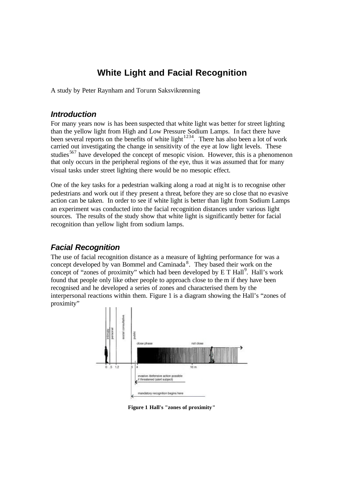# **White Light and Facial Recognition**

A study by Peter Raynham and Torunn Saksvikrønning

#### *Introduction*

For many years now is has been suspected that white light was better for street lighting than the yellow light from High and Low Pressure Sodium Lamps. In fact there have been several reports on the benefits of white light<sup>1234</sup>. There has also been a lot of work carried out investigating the change in sensitivity of the eye at low light levels. These studies<sup>567</sup> have developed the concept of mesopic vision. However, this is a phenomenon that only occurs in the peripheral regions of the eye, thus it was assumed that for many visual tasks under street lighting there would be no mesopic effect.

One of the key tasks for a pedestrian walking along a road at night is to recognise other pedestrians and work out if they present a threat, before they are so close that no evasive action can be taken. In order to see if white light is better than light from Sodium Lamps an experiment was conducted into the facial recognition distances under various light sources. The results of the study show that white light is significantly better for facial recognition than yellow light from sodium lamps.

# *Facial Recognition*

The use of facial recognition distance as a measure of lighting performance for was a concept developed by van Bommel and Caminada<sup>8</sup>. They based their work on the concept of "zones of proximity" which had been developed by  $E T Hall$ <sup>9</sup>. Hall's work found that people only like other people to approach close to the m if they have been recognised and he developed a series of zones and characterised them by the interpersonal reactions within them. Figure 1 is a diagram showing the Hall's "zones of proximity"



**Figure 1 Hall's "zones of proximity"**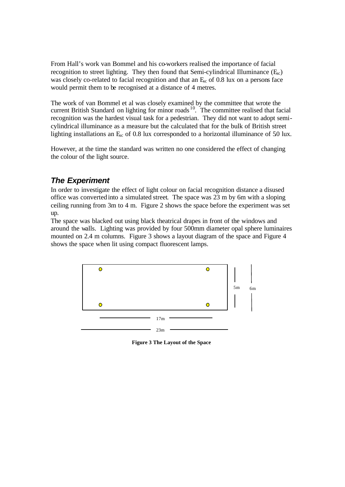From Hall's work van Bommel and his co-workers realised the importance of facial recognition to street lighting. They then found that Semi-cylindrical Illuminance  $(E_{\rm sc})$ was closely co-related to facial recognition and that an  $E_{\rm sc}$  of 0.8 lux on a persons face would permit them to be recognised at a distance of 4 metres.

The work of van Bommel et al was closely examined by the committee that wrote the current British Standard on lighting for minor roads  $10$ . The committee realised that facial recognition was the hardest visual task for a pedestrian. They did not want to adopt semicylindrical illuminance as a measure but the calculated that for the bulk of British street lighting installations an  $E_{\rm sc}$  of 0.8 lux corresponded to a horizontal illuminance of 50 lux.

However, at the time the standard was written no one considered the effect of changing the colour of the light source.

# *The Experiment*

In order to investigate the effect of light colour on facial recognition distance a disused office was converted into a simulated street. The space was 23 m by 6m with a sloping ceiling running from 3m to 4 m. Figure 2 shows the space before the experiment was set up.

The space was blacked out using black theatrical drapes in front of the windows and around the walls. Lighting was provided by four 500mm diameter opal sphere luminaires mounted on 2.4 m columns. Figure 3 shows a layout diagram of the space and Figure 4 shows the space when lit using compact fluorescent lamps.



**Figure 3 The Layout of the Space**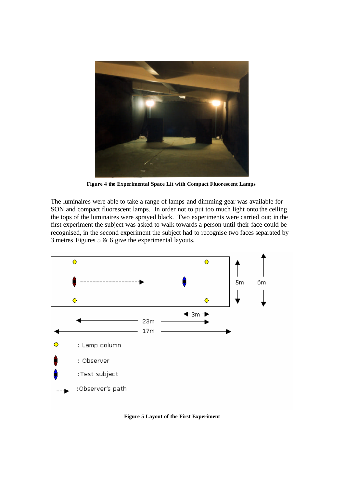

**Figure 4 the Experimental Space Lit with Compact Fluorescent Lamps**

The luminaires were able to take a range of lamps and dimming gear was available for SON and compact fluorescent lamps. In order not to put too much light onto the ceiling the tops of the luminaires were sprayed black. Two experiments were carried out; in the first experiment the subject was asked to walk towards a person until their face could be recognised, in the second experiment the subject had to recognise two faces separated by 3 metres Figures 5 & 6 give the experimental layouts.



**Figure 5 Layout of the First Experiment**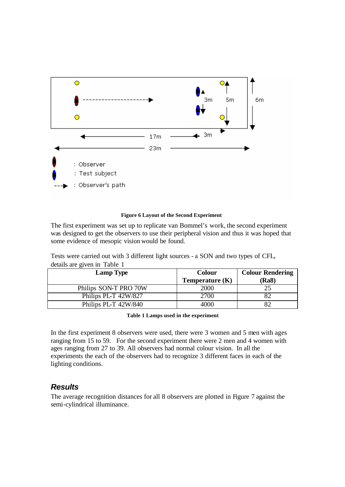

#### **Figure 6 Layout of the Second Experiment**

The first experiment was set up to replicate van Bommel's work, the second experiment was designed to get the observers to use their peripheral vision and thus it was hoped that some evidence of mesopic vision would be found.

Tests were carried out with 3 different light sources - a SON and two types of CFL, details are given in Table 1

| <b>Lamp Type</b>      | <b>Colour</b><br>Temperature $(K)$ | <b>Colour Rendering</b><br>(Ra8) |
|-----------------------|------------------------------------|----------------------------------|
| Philips SON-T PRO 70W | 2000                               | 25                               |
| Philips PL-T 42W/827  | 2700                               |                                  |
| Philips PL-T 42W/840  | 4000                               |                                  |

**Table 1 Lamps used in the experiment**

In the first experiment 8 observers were used, there were 3 women and 5 men with ages ranging from 15 to 59. For the second experiment there were 2 men and 4 women with ages ranging from 27 to 39. All observers had normal colour vision. In all the experiments the each of the observers had to recognize 3 different faces in each of the lighting conditions.

### *Results*

The average recognition distances for all 8 observers are plotted in Figure 7 against the semi-cylindrical illuminance.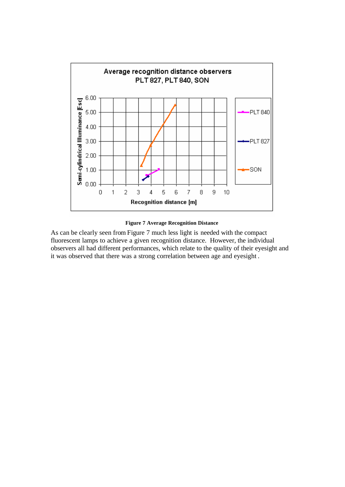

**Figure 7 Average Recognition Distance**

As can be clearly seen from Figure 7 much less light is needed with the compact fluorescent lamps to achieve a given recognition distance. However, the individual observers all had different performances, which relate to the quality of their eyesight and it was observed that there was a strong correlation between age and eyesight .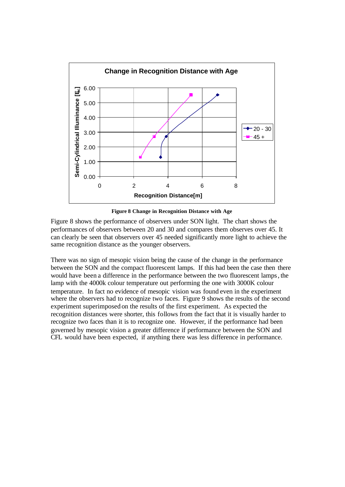

**Figure 8 Change in Recognition Distance with Age**

Figure 8 shows the performance of observers under SON light. The chart shows the performances of observers between 20 and 30 and compares them observes over 45. It can clearly be seen that observers over 45 needed significantly more light to achieve the same recognition distance as the younger observers.

There was no sign of mesopic vision being the cause of the change in the performance between the SON and the compact fluorescent lamps. If this had been the case then there would have been a difference in the performance between the two fluorescent lamps, the lamp with the 4000k colour temperature out performing the one with 3000K colour temperature. In fact no evidence of mesopic vision was found even in the experiment where the observers had to recognize two faces. Figure 9 shows the results of the second experiment superimposed on the results of the first experiment. As expected the recognition distances were shorter, this follows from the fact that it is visually harder to recognize two faces than it is to recognize one. However, if the performance had been governed by mesopic vision a greater difference if performance between the SON and CFL would have been expected, if anything there was less difference in performance.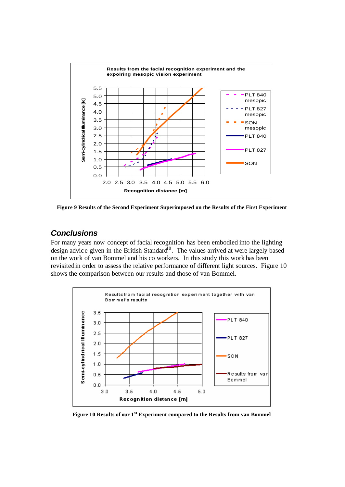

**Figure 9 Results of the Second Experiment Superimposed on the Results of the First Experiment**

## *Conclusions*

For many years now concept of facial recognition has been embodied into the lighting design advice given in the British Standard<sup>10</sup>. The values arrived at were largely based on the work of van Bommel and his co workers. In this study this work has been revisited in order to assess the relative performance of different light sources. Figure 10 shows the comparison between our results and those of van Bommel.



**Figure 10 Results of our 1st Experiment compared to the Results from van Bommel**